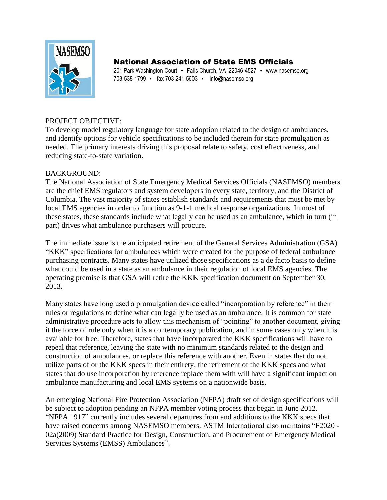

## National Association of State EMS Officials

201 Park Washington Court • Falls Church, VA 22046-4527 • www.nasemso.org 703-538-1799 • fax 703-241-5603 • info@nasemso.org

## PROJECT OBJECTIVE:

To develop model regulatory language for state adoption related to the design of ambulances, and identify options for vehicle specifications to be included therein for state promulgation as needed. The primary interests driving this proposal relate to safety, cost effectiveness, and reducing state-to-state variation.

## BACKGROUND:

The National Association of State Emergency Medical Services Officials (NASEMSO) members are the chief EMS regulators and system developers in every state, territory, and the District of Columbia. The vast majority of states establish standards and requirements that must be met by local EMS agencies in order to function as 9-1-1 medical response organizations. In most of these states, these standards include what legally can be used as an ambulance, which in turn (in part) drives what ambulance purchasers will procure.

The immediate issue is the anticipated retirement of the General Services Administration (GSA) "KKK" specifications for ambulances which were created for the purpose of federal ambulance purchasing contracts. Many states have utilized those specifications as a de facto basis to define what could be used in a state as an ambulance in their regulation of local EMS agencies. The operating premise is that GSA will retire the KKK specification document on September 30, 2013.

Many states have long used a promulgation device called "incorporation by reference" in their rules or regulations to define what can legally be used as an ambulance. It is common for state administrative procedure acts to allow this mechanism of "pointing" to another document, giving it the force of rule only when it is a contemporary publication, and in some cases only when it is available for free. Therefore, states that have incorporated the KKK specifications will have to repeal that reference, leaving the state with no minimum standards related to the design and construction of ambulances, or replace this reference with another. Even in states that do not utilize parts of or the KKK specs in their entirety, the retirement of the KKK specs and what states that do use incorporation by reference replace them with will have a significant impact on ambulance manufacturing and local EMS systems on a nationwide basis.

An emerging National Fire Protection Association (NFPA) draft set of design specifications will be subject to adoption pending an NFPA member voting process that began in June 2012. "NFPA 1917" currently includes several departures from and additions to the KKK specs that have raised concerns among NASEMSO members. ASTM International also maintains "F2020 - 02a(2009) Standard Practice for Design, Construction, and Procurement of Emergency Medical Services Systems (EMSS) Ambulances".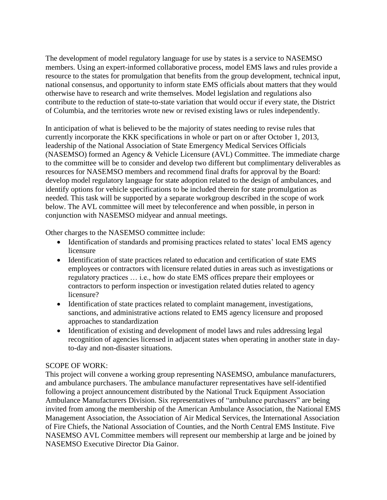The development of model regulatory language for use by states is a service to NASEMSO members. Using an expert-informed collaborative process, model EMS laws and rules provide a resource to the states for promulgation that benefits from the group development, technical input, national consensus, and opportunity to inform state EMS officials about matters that they would otherwise have to research and write themselves. Model legislation and regulations also contribute to the reduction of state-to-state variation that would occur if every state, the District of Columbia, and the territories wrote new or revised existing laws or rules independently.

In anticipation of what is believed to be the majority of states needing to revise rules that currently incorporate the KKK specifications in whole or part on or after October 1, 2013, leadership of the National Association of State Emergency Medical Services Officials (NASEMSO) formed an Agency & Vehicle Licensure (AVL) Committee. The immediate charge to the committee will be to consider and develop two different but complimentary deliverables as resources for NASEMSO members and recommend final drafts for approval by the Board: develop model regulatory language for state adoption related to the design of ambulances, and identify options for vehicle specifications to be included therein for state promulgation as needed. This task will be supported by a separate workgroup described in the scope of work below. The AVL committee will meet by teleconference and when possible, in person in conjunction with NASEMSO midyear and annual meetings.

Other charges to the NASEMSO committee include:

- Identification of standards and promising practices related to states' local EMS agency licensure
- Identification of state practices related to education and certification of state EMS employees or contractors with licensure related duties in areas such as investigations or regulatory practices … i.e., how do state EMS offices prepare their employees or contractors to perform inspection or investigation related duties related to agency licensure?
- Identification of state practices related to complaint management, investigations, sanctions, and administrative actions related to EMS agency licensure and proposed approaches to standardization
- Identification of existing and development of model laws and rules addressing legal recognition of agencies licensed in adjacent states when operating in another state in dayto-day and non-disaster situations.

## SCOPE OF WORK:

This project will convene a working group representing NASEMSO, ambulance manufacturers, and ambulance purchasers. The ambulance manufacturer representatives have self-identified following a project announcement distributed by the National Truck Equipment Association Ambulance Manufacturers Division. Six representatives of "ambulance purchasers" are being invited from among the membership of the American Ambulance Association, the National EMS Management Association, the Association of Air Medical Services, the International Association of Fire Chiefs, the National Association of Counties, and the North Central EMS Institute. Five NASEMSO AVL Committee members will represent our membership at large and be joined by NASEMSO Executive Director Dia Gainor.